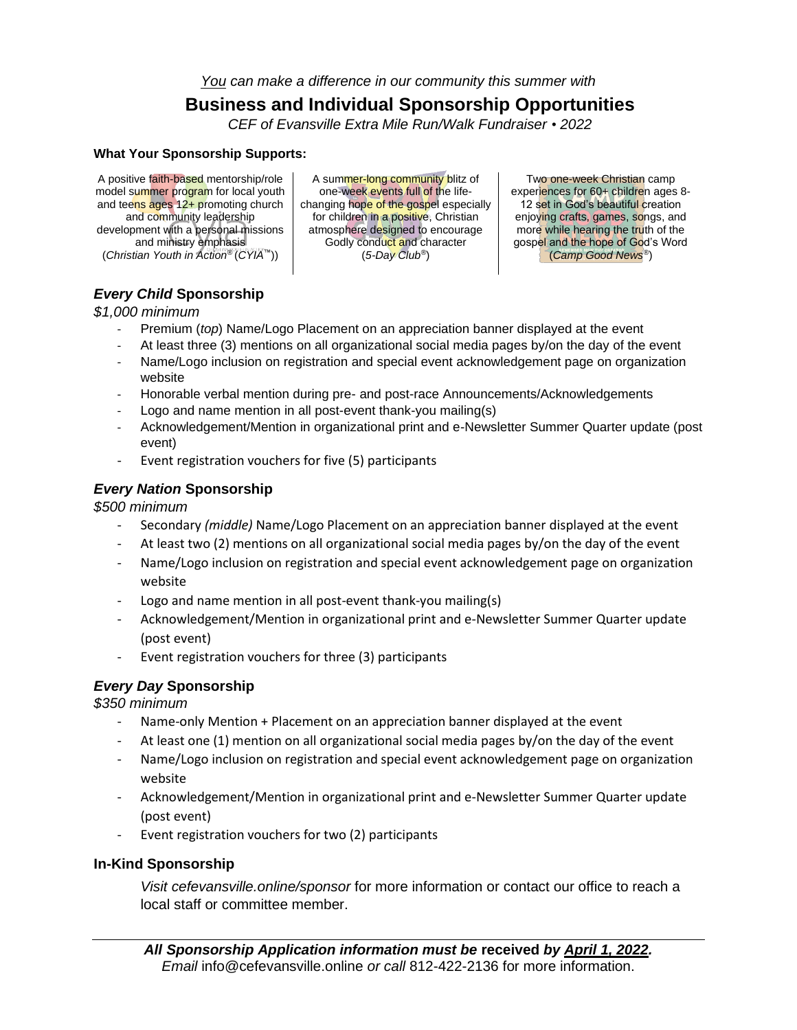*You can make a difference in our community this summer with*

## **Business and Individual Sponsorship Opportunities**

*CEF of Evansville Extra Mile Run/Walk Fundraiser • 2022*

#### **What Your Sponsorship Supports:**

A positive faith-based mentorship/role model summer program for local youth and teens ages 12+ promoting church and community leadership development with a personal missions and ministry emphasis (*Christian Youth in Action®* (*CYIA™*))

A summer-long community blitz of one-week events full of the lifechanging hope of the gospel especially for children in a positive, Christian atmosphere designed to encourage Godly conduct and character (*5-Day Club®*)

Two one-week Christian camp experiences for 60+ children ages 8-12 set in God's beautiful creation enjoying crafts, games, songs, and more while hearing the truth of the gospel and the hope of God's Word (*Camp Good News®*)

### *Every Child* **Sponsorship**

*\$1,000 minimum*

- Premium (*top*) Name/Logo Placement on an appreciation banner displayed at the event
- At least three (3) mentions on all organizational social media pages by/on the day of the event
- Name/Logo inclusion on registration and special event acknowledgement page on organization website
- Honorable verbal mention during pre- and post-race Announcements/Acknowledgements
- Logo and name mention in all post-event thank-you mailing(s)
- Acknowledgement/Mention in organizational print and e-Newsletter Summer Quarter update (post event)
- Event registration vouchers for five (5) participants

#### *Every Nation* **Sponsorship**

*\$500 minimum*

- Secondary *(middle)* Name/Logo Placement on an appreciation banner displayed at the event
- At least two (2) mentions on all organizational social media pages by/on the day of the event
- Name/Logo inclusion on registration and special event acknowledgement page on organization website
- Logo and name mention in all post-event thank-you mailing(s)
- Acknowledgement/Mention in organizational print and e-Newsletter Summer Quarter update (post event)
- Event registration vouchers for three (3) participants

#### *Every Day* **Sponsorship**

*\$350 minimum*

- Name-only Mention + Placement on an appreciation banner displayed at the event
- At least one (1) mention on all organizational social media pages by/on the day of the event
- Name/Logo inclusion on registration and special event acknowledgement page on organization website
- Acknowledgement/Mention in organizational print and e-Newsletter Summer Quarter update (post event)
- Event registration vouchers for two (2) participants

#### **In-Kind Sponsorship**

*Visit cefevansville.online/sponsor* for more information or contact our office to reach a local staff or committee member.